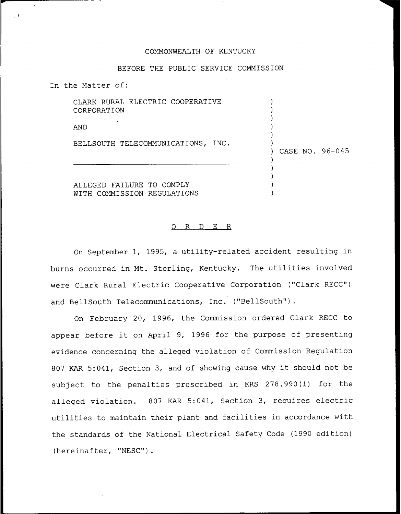## COMMONWEALTH OF KENTUCKY

## BEFORE THE PUBLIC SERVICE COMMISSION

In the Matter of:

CLARK RURAL ELECTRIC COOPERATIVE CORPORATION

AND

BELLSOUTH TELECOMMUNICATIONS, INC.

) CASE NO. 96—045

 $\lambda$ ) ) ) ) )

> ) ) ) ) )

ALLEGED FAILURE TO COMPLY WITH COMMISSION REGULATIONS

## 0 R <sup>D</sup> E R

On September 1, 1995, a utility-related accident resulting in burns occurred in Mt. Sterling, Kentucky. The utilities involved were Clark Rural Electric Cooperative Corporation ("Clark RECC") and BellSouth Telecommunications, Inc. ("BellSouth").

On February 20, 1996, the Commission ordered Clark RECC to appear before it on April 9, 1996 for the purpose of presenting evidence concerning the alleged violation of Commission Regulation <sup>807</sup> KAR 5:041, Section 3, and of showing cause why it should not be subject to the penalties prescribed in KRS 278.990(1) for the alleged violation. <sup>807</sup> KAR 5:041, Section 3, requires electric utilities to maintain their plant and facilities in accordance with the standards of the National Electrical Safety Code (1990 edition) (hereinafter, "NESC").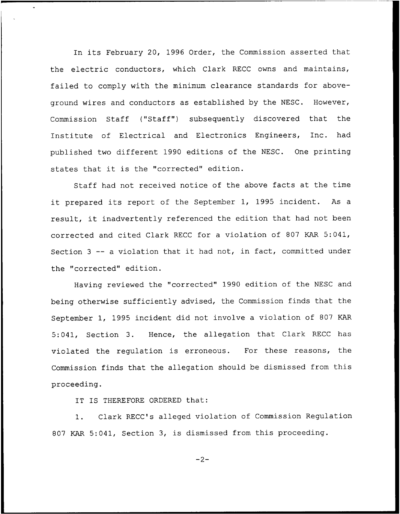In its February 20, 1996 Order, the Commission asserted that the electric conductors, which Clark RECC owns and maintains, failed to comply with the minimum clearance standards for aboveground wires and conductors as established by the NESC. However, Commission Staff ("Staff") subsequently discovered that the Institute of Electrical and Electronics Engineers, Inc. had published two different 1990 editions of the NESC. One printing states that it is the "corrected" edition.

Staff had not received notice of the above facts at the time it prepared its report of the September 1, 1995 incident. As <sup>a</sup> result, it inadvertently referenced the edition that had not been corrected and cited Clark RECC for a violation of 807 KAR 5:041, Section 3 -- a violation that it had not, in fact, committed unde the "corrected" edition.

Having reviewed the "corrected" 1990 edition of the NESC and being otherwise sufficiently advised, the Commission finds that the September 1, 1995 incident did not involve a violation of 807 KAR 5:041, Section 3. Hence, the allegation that Clark RECC has violated the regulation is erroneous. For these reasons, the Commission finds that the allegation should be dismissed from this proceeding.

IT IS THEREFORE ORDERED that:

1. Clark RECC's alleged violation of Commission Regulation 807 KAR 5:041, Section 3, is dismissed from this proceeding.

 $-2-$